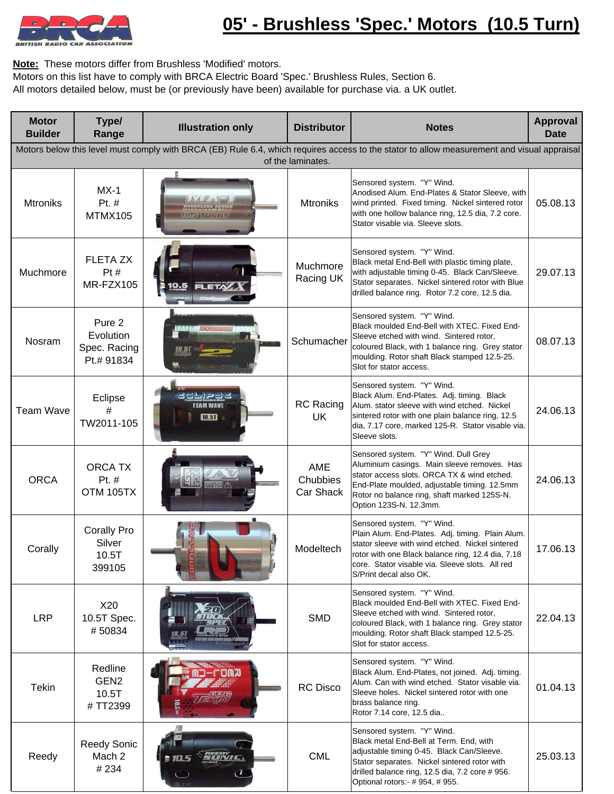

**Note:** These motors differ from Brushless 'Modified' motors.

Motors on this list have to comply with BRCA Electric Board 'Spec.' Brushless Rules, Section 6.

All motors detailed below, must be (or previously have been) available for purchase via. a UK outlet.

| <b>Motor</b><br><b>Builder</b>                                                                                                                                  | Type/<br>Range                                    | <b>Illustration only</b>                         | <b>Distributor</b>            | <b>Notes</b>                                                                                                                                                                                                                                                        | <b>Approval</b><br><b>Date</b> |  |
|-----------------------------------------------------------------------------------------------------------------------------------------------------------------|---------------------------------------------------|--------------------------------------------------|-------------------------------|---------------------------------------------------------------------------------------------------------------------------------------------------------------------------------------------------------------------------------------------------------------------|--------------------------------|--|
| Motors below this level must comply with BRCA (EB) Rule 6.4, which requires access to the stator to allow measurement and visual appraisal<br>of the laminates. |                                                   |                                                  |                               |                                                                                                                                                                                                                                                                     |                                |  |
| <b>Mtroniks</b>                                                                                                                                                 | $MX-1$<br>Pt. #<br>MTMX105                        | $\Lambda A V_A \subseteq B$<br><b>O!SWILLRNS</b> | <b>Mtroniks</b>               | Sensored system. "Y" Wind.<br>Anodised Alum. End-Plates & Stator Sleeve, with<br>wind printed. Fixed timing. Nickel sintered rotor<br>with one hollow balance ring, 12.5 dia, 7.2 core.<br>Stator visable via. Sleeve slots.                                        | 05.08.13                       |  |
| Muchmore                                                                                                                                                        | <b>FLETA ZX</b><br>Pt#<br>MR-FZX105               |                                                  | Muchmore<br>Racing UK         | Sensored system. "Y" Wind.<br>Black metal End-Bell with plastic timing plate,<br>with adjustable timing 0-45. Black Can/Sleeve.<br>Stator separates. Nickel sintered rotor with Blue<br>drilled balance ring. Rotor 7.2 core, 12.5 dia.                             | 29.07.13                       |  |
| Nosram                                                                                                                                                          | Pure 2<br>Evolution<br>Spec. Racing<br>Pt.# 91834 |                                                  | Schumacher                    | Sensored system. "Y" Wind.<br>Black moulded End-Bell with XTEC. Fixed End-<br>Sleeve etched with wind. Sintered rotor,<br>coloured Black, with 1 balance ring. Grey stator<br>moulding. Rotor shaft Black stamped 12.5-25.<br>Slot for stator access.               | 08.07.13                       |  |
| <b>Team Wave</b>                                                                                                                                                | Eclipse<br>#<br>TW2011-105                        | dhisa<br><b>TEAM WAVE</b><br><b>10.5T</b>        | <b>RC</b> Racing<br><b>UK</b> | Sensored system. "Y" Wind.<br>Black Alum. End-Plates. Adj. timing. Black<br>Alum. stator sleeve with wind etched. Nickel<br>sintered rotor with one plain balance ring, 12.5<br>dia, 7.17 core, marked 125-R. Stator visable via.<br>Sleeve slots.                  | 24.06.13                       |  |
| <b>ORCA</b>                                                                                                                                                     | <b>ORCA TX</b><br>Pt. #<br>OTM 105TX              |                                                  | AME<br>Chubbies<br>Car Shack  | Sensored system. "Y" Wind. Dull Grey<br>Aluminium casings. Main sleeve removes. Has<br>stator access slots. ORCA TX & wind etched.<br>End-Plate moulded, adjustable timing. 12.5mm<br>Rotor no balance ring, shaft marked 125S-N.<br>Option 123S-N. 12.3mm.         | 24.06.13                       |  |
| Corally                                                                                                                                                         | <b>Corally Pro</b><br>Silver<br>10.5T<br>399105   |                                                  | Modeltech                     | Sensored system. "Y" Wind.<br>Plain Alum. End-Plates. Adj. timing. Plain Alum.<br>stator sleeve with wind etched. Nickel sintered<br>rotor with one Black balance ring, 12.4 dia, 7.18<br>core. Stator visable via. Sleeve slots. All red<br>S/Print decal also OK. | 17.06.13                       |  |
| <b>LRP</b>                                                                                                                                                      | X20<br>10.5T Spec.<br>#50834                      |                                                  | <b>SMD</b>                    | Sensored system. "Y" Wind.<br>Black moulded End-Bell with XTEC. Fixed End-<br>Sleeve etched with wind. Sintered rotor,<br>coloured Black, with 1 balance ring. Grey stator<br>moulding. Rotor shaft Black stamped 12.5-25.<br>Slot for stator access.               | 22.04.13                       |  |
| <b>Tekin</b>                                                                                                                                                    | Redline<br>GEN <sub>2</sub><br>10.5T<br>#TT2399   |                                                  | <b>RC</b> Disco               | Sensored system. "Y" Wind.<br>Black Alum. End-Plates, not joined. Adj. timing.<br>Alum. Can with wind etched. Stator visable via.<br>Sleeve holes. Nickel sintered rotor with one<br>brass balance ring.<br>Rotor 7.14 core, 12.5 dia                               | 01.04.13                       |  |
| Reedy                                                                                                                                                           | <b>Reedy Sonic</b><br>Mach 2<br>#234              |                                                  | <b>CML</b>                    | Sensored system. "Y" Wind.<br>Black metal End-Bell at Term. End, with<br>adjustable timing 0-45. Black Can/Sleeve.<br>Stator separates. Nickel sintered rotor with<br>drilled balance ring, 12.5 dia, 7.2 core # 956.<br>Optional rotors: - # 954, # 955.           | 25.03.13                       |  |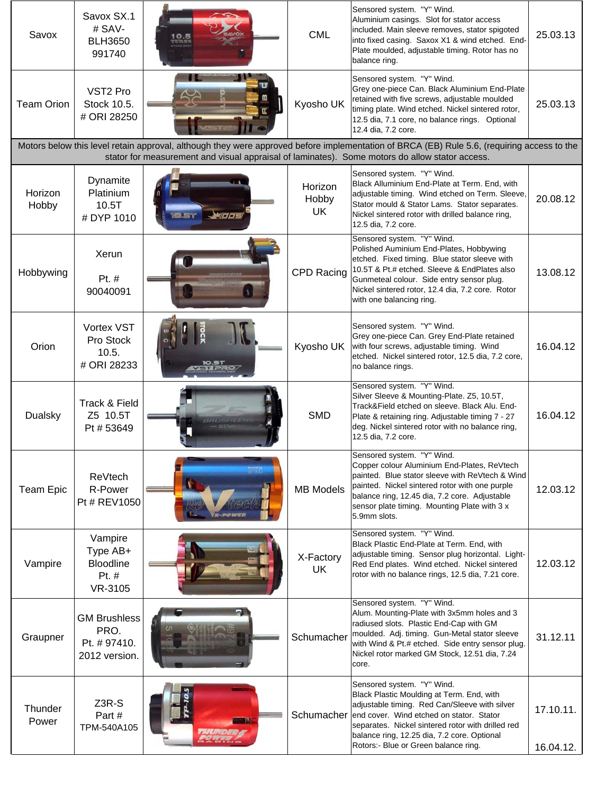| Savox             | Savox SX.1<br># SAV-<br><b>BLH3650</b><br>991740            |                                                                                                | <b>CML</b>                    | Sensored system. "Y" Wind.<br>Aluminium casings. Slot for stator access<br>included. Main sleeve removes, stator spigoted<br>into fixed casing. Saxox X1 & wind etched. End-<br>Plate moulded, adjustable timing. Rotor has no<br>balance ring.                                                                  | 25.03.13               |
|-------------------|-------------------------------------------------------------|------------------------------------------------------------------------------------------------|-------------------------------|------------------------------------------------------------------------------------------------------------------------------------------------------------------------------------------------------------------------------------------------------------------------------------------------------------------|------------------------|
| <b>Team Orion</b> | VST <sub>2</sub> Pro<br>Stock 10.5.<br># ORI 28250          |                                                                                                | Kyosho UK                     | Sensored system. "Y" Wind.<br>Grey one-piece Can. Black Aluminium End-Plate<br>retained with five screws, adjustable moulded<br>timing plate. Wind etched. Nickel sintered rotor,<br>12.5 dia, 7.1 core, no balance rings. Optional<br>12.4 dia, 7.2 core.                                                       | 25.03.13               |
|                   |                                                             | stator for measurement and visual appraisal of laminates). Some motors do allow stator access. |                               | Motors below this level retain approval, although they were approved before implementation of BRCA (EB) Rule 5.6, (requiring access to the                                                                                                                                                                       |                        |
| Horizon<br>Hobby  | Dynamite<br>Platinium<br>10.5T<br># DYP 1010                |                                                                                                | Horizon<br>Hobby<br><b>UK</b> | Sensored system. "Y" Wind.<br>Black Alluminium End-Plate at Term. End, with<br>adjustable timing. Wind etched on Term. Sleeve,<br>Stator mould & Stator Lams. Stator separates.<br>Nickel sintered rotor with drilled balance ring,<br>12.5 dia, 7.2 core.                                                       | 20.08.12               |
| Hobbywing         | Xerun<br>Pt. #<br>90040091                                  |                                                                                                | <b>CPD Racing</b>             | Sensored system. "Y" Wind.<br>Polished Auminium End-Plates, Hobbywing<br>etched. Fixed timing. Blue stator sleeve with<br>10.5T & Pt.# etched. Sleeve & EndPlates also<br>Gunmeteal colour. Side entry sensor plug.<br>Nickel sintered rotor, 12.4 dia, 7.2 core. Rotor<br>with one balancing ring.              | 13.08.12               |
| Orion             | <b>Vortex VST</b><br>Pro Stock<br>10.5.<br># ORI 28233      |                                                                                                | Kyosho UK                     | Sensored system. "Y" Wind.<br>Grey one-piece Can. Grey End-Plate retained<br>with four screws, adjustable timing. Wind<br>etched. Nickel sintered rotor, 12.5 dia, 7.2 core,<br>no balance rings.                                                                                                                | 16.04.12               |
| Dualsky           | Track & Field<br>Z5 10.5T<br>Pt # 53649                     |                                                                                                | <b>SMD</b>                    | Sensored system. "Y" Wind.<br>Silver Sleeve & Mounting-Plate. Z5, 10.5T,<br>Track&Field etched on sleeve. Black Alu. End-<br>Plate & retaining ring. Adjustable timing 7 - 27<br>deg. Nickel sintered rotor with no balance ring,<br>12.5 dia, 7.2 core.                                                         | 16.04.12               |
| <b>Team Epic</b>  | ReVtech<br>R-Power<br>Pt # REV1050                          |                                                                                                | <b>MB Models</b>              | Sensored system. "Y" Wind.<br>Copper colour Aluminium End-Plates, ReVtech<br>painted. Blue stator sleeve with ReVtech & Wind<br>painted. Nickel sintered rotor with one purple<br>balance ring, 12.45 dia, 7.2 core. Adjustable<br>sensor plate timing. Mounting Plate with 3 x<br>5.9mm slots.                  | 12.03.12               |
| Vampire           | Vampire<br>Type AB+<br><b>Bloodline</b><br>Pt. #<br>VR-3105 |                                                                                                | X-Factory<br><b>UK</b>        | Sensored system. "Y" Wind.<br>Black Plastic End-Plate at Term. End, with<br>adjustable timing. Sensor plug horizontal. Light-<br>Red End plates. Wind etched. Nickel sintered<br>rotor with no balance rings, 12.5 dia, 7.21 core.                                                                               | 12.03.12               |
| Graupner          | <b>GM Brushless</b><br>PRO.<br>Pt. #97410.<br>2012 version. |                                                                                                | Schumacher                    | Sensored system. "Y" Wind.<br>Alum. Mounting-Plate with 3x5mm holes and 3<br>radiused slots. Plastic End-Cap with GM<br>moulded. Adj. timing. Gun-Metal stator sleeve<br>with Wind & Pt.# etched. Side entry sensor plug.<br>Nickel rotor marked GM Stock, 12.51 dia, 7.24<br>core.                              | 31.12.11               |
| Thunder<br>Power  | Z3R-S<br>Part#<br>TPM-540A105                               |                                                                                                | Schumacher                    | Sensored system. "Y" Wind.<br>Black Plastic Moulding at Term. End, with<br>adjustable timing. Red Can/Sleeve with silver<br>end cover. Wind etched on stator. Stator<br>separates. Nickel sintered rotor with drilled red<br>balance ring, 12.25 dia, 7.2 core. Optional<br>Rotors:- Blue or Green balance ring. | 17.10.11.<br>16.04.12. |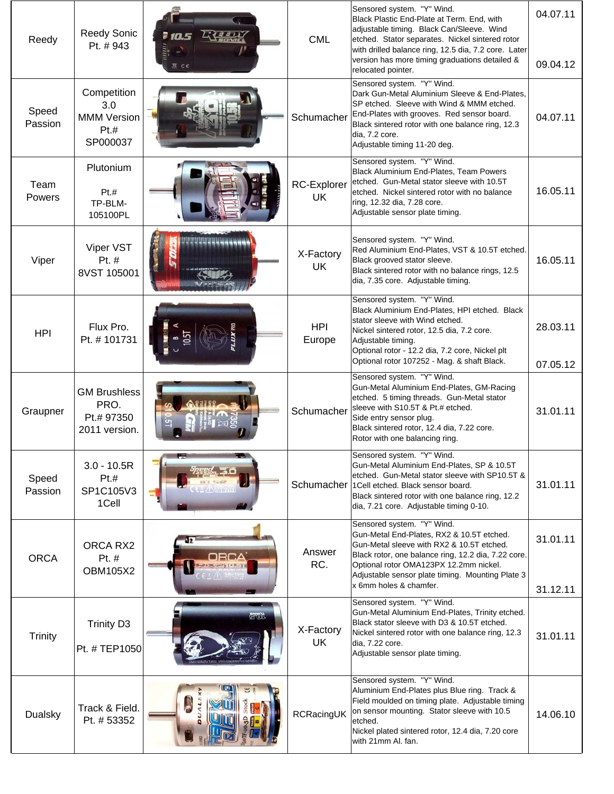| Reedy            | <b>Reedy Sonic</b><br>Pt. #943                               | マキョウメン             | <b>CML</b>               | Sensored system. "Y" Wind.<br>Black Plastic End-Plate at Term. End, with<br>adjustable timing. Black Can/Sleeve. Wind<br>etched. Stator separates. Nickel sintered rotor<br>with drilled balance ring, 12.5 dia, 7.2 core. Later<br>version has more timing graduations detailed &<br>relocated pointer. | 04.07.11<br>09.04.12 |
|------------------|--------------------------------------------------------------|--------------------|--------------------------|----------------------------------------------------------------------------------------------------------------------------------------------------------------------------------------------------------------------------------------------------------------------------------------------------------|----------------------|
| Speed<br>Passion | Competition<br>3.0<br><b>MMM Version</b><br>Pt.H<br>SP000037 |                    | Schumacher               | Sensored system. "Y" Wind.<br>Dark Gun-Metal Aluminium Sleeve & End-Plates,<br>SP etched. Sleeve with Wind & MMM etched.<br>End-Plates with grooves. Red sensor board.<br>Black sintered rotor with one balance ring, 12.3<br>dia, 7.2 core.<br>Adjustable timing 11-20 deg.                             | 04.07.11             |
| Team<br>Powers   | Plutonium<br>Pt.t<br>TP-BLM-<br>105100PL                     |                    | <b>RC-Explorer</b><br>UK | Sensored system. "Y" Wind.<br>Black Aluminium End-Plates, Team Powers<br>etched. Gun-Metal stator sleeve with 10.5T<br>etched. Nickel sintered rotor with no balance<br>ring, 12.32 dia, 7.28 core.<br>Adjustable sensor plate timing.                                                                   | 16.05.11             |
| Viper            | Viper VST<br>Pt. #<br>8VST 105001                            |                    | X-Factory<br><b>UK</b>   | Sensored system. "Y" Wind.<br>Red Aluminium End-Plates, VST & 10.5T etched.<br>Black grooved stator sleeve.<br>Black sintered rotor with no balance rings, 12.5<br>dia, 7.35 core. Adjustable timing.                                                                                                    | 16.05.11             |
| <b>HPI</b>       | Flux Pro.<br>Pt. #101731                                     |                    | <b>HPI</b><br>Europe     | Sensored system. "Y" Wind.<br>Black Aluminium End-Plates, HPI etched. Black<br>stator sleeve with Wind etched.<br>Nickel sintered rotor, 12.5 dia, 7.2 core.<br>Adjustable timing.<br>Optional rotor - 12.2 dia, 7.2 core, Nickel plt<br>Optional rotor 107252 - Mag. & shaft Black.                     | 28.03.11<br>07.05.12 |
| Graupner         | <b>GM Brushless</b><br>PRO.<br>Pt.# 97350<br>2011 version.   |                    | Schumacher               | Sensored system. "Y" Wind.<br>Gun-Metal Aluminium End-Plates, GM-Racing<br>etched. 5 timing threads. Gun-Metal stator<br>sleeve with S10.5T & Pt.# etched.<br>Side entry sensor plug.<br>Black sintered rotor, 12.4 dia, 7.22 core.<br>Rotor with one balancing ring.                                    | 31.01.11             |
| Speed<br>Passion | $3.0 - 10.5R$<br>Pt.#<br>SP1C105V3<br>1Cell                  |                    |                          | Sensored system. "Y" Wind.<br>Gun-Metal Aluminium End-Plates, SP & 10.5T<br>etched. Gun-Metal stator sleeve with SP10.5T &<br>Schumacher 1Cell etched. Black sensor board.<br>Black sintered rotor with one balance ring, 12.2<br>dia, 7.21 core. Adjustable timing 0-10.                                | 31.01.11             |
| <b>ORCA</b>      | ORCA RX2<br>Pt. #<br><b>OBM105X2</b>                         |                    | Answer<br>RC.            | Sensored system. "Y" Wind.<br>Gun-Metal End-Plates, RX2 & 10.5T etched.<br>Gun-Metal sleeve with RX2 & 10.5T etched.<br>Black rotor, one balance ring, 12.2 dia, 7.22 core.<br>Optional rotor OMA123PX 12.2mm nickel.<br>Adjustable sensor plate timing. Mounting Plate 3<br>x 6mm holes & chamfer.      | 31.01.11<br>31.12.11 |
| <b>Trinity</b>   | <b>Trinity D3</b><br>Pt. # TEP1050                           | $C_1$ on $\Lambda$ | X-Factory<br><b>UK</b>   | Sensored system. "Y" Wind.<br>Gun-Metal Aluminium End-Plates, Trinity etched.<br>Black stator sleeve with D3 & 10.5T etched.<br>Nickel sintered rotor with one balance ring, 12.3<br>dia, 7.22 core.<br>Adjustable sensor plate timing.                                                                  | 31.01.11             |
| Dualsky          | Track & Field.<br>Pt. # 53352                                |                    | RCRacingUK               | Sensored system. "Y" Wind.<br>Aluminium End-Plates plus Blue ring. Track &<br>Field moulded on timing plate. Adjustable timing<br>on sensor mounting. Stator sleeve with 10.5<br>etched.<br>Nickel plated sintered rotor, 12.4 dia, 7.20 core<br>with 21mm Al. fan.                                      | 14.06.10             |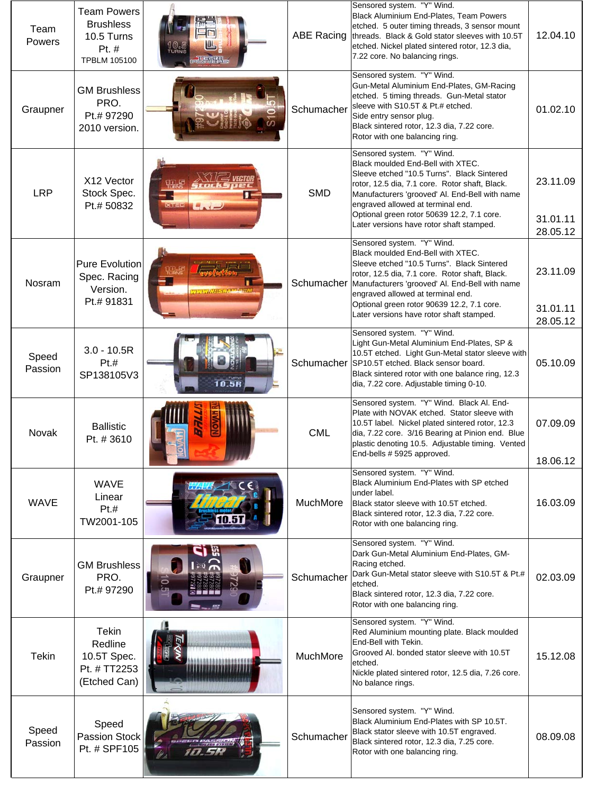| Team<br>Powers   | <b>Team Powers</b><br><b>Brushless</b><br>10.5 Turns<br>Pt. #<br><b>TPBLM 105100</b> | 电晶晶型                     | <b>ABE Racing</b> | Sensored system. "Y" Wind.<br>Black Aluminium End-Plates, Team Powers<br>etched. 5 outer timing threads, 3 sensor mount<br>threads. Black & Gold stator sleeves with 10.5T<br>etched. Nickel plated sintered rotor, 12.3 dia,<br>7.22 core. No balancing rings.                                                                                               | 12.04.10                                     |
|------------------|--------------------------------------------------------------------------------------|--------------------------|-------------------|---------------------------------------------------------------------------------------------------------------------------------------------------------------------------------------------------------------------------------------------------------------------------------------------------------------------------------------------------------------|----------------------------------------------|
| Graupner         | <b>GM Brushless</b><br>PRO.<br>Pt.# 97290<br>2010 version.                           |                          | Schumacher        | Sensored system. "Y" Wind.<br>Gun-Metal Aluminium End-Plates, GM-Racing<br>etched. 5 timing threads. Gun-Metal stator<br>sleeve with S10.5T & Pt.# etched.<br>Side entry sensor plug.<br>Black sintered rotor, 12.3 dia, 7.22 core.<br>Rotor with one balancing ring.                                                                                         | 01.02.10                                     |
| <b>LRP</b>       | X12 Vector<br>Stock Spec.<br>Pt.# 50832                                              | $-1$<br>$X = -C$         | <b>SMD</b>        | Sensored system. "Y" Wind.<br>Black moulded End-Bell with XTEC.<br>Sleeve etched "10.5 Turns". Black Sintered<br>rotor, 12.5 dia, 7.1 core. Rotor shaft, Black.<br>Manufacturers 'grooved' Al. End-Bell with name<br>engraved allowed at terminal end.<br>Optional green rotor 50639 12.2, 7.1 core.<br>Later versions have rotor shaft stamped.              | 23.11.09<br>31.01.11                         |
| Nosram           | <b>Pure Evolution</b><br>Spec. Racing<br>Version.<br>Pt.# 91831                      | <b>WINNAISSRAMMERRIM</b> |                   | Sensored system. "Y" Wind.<br>Black moulded End-Bell with XTEC.<br>Sleeve etched "10.5 Turns". Black Sintered<br>rotor, 12.5 dia, 7.1 core. Rotor shaft, Black.<br>Schumacher   Manufacturers 'grooved' Al. End-Bell with name<br>engraved allowed at terminal end.<br>Optional green rotor 90639 12.2, 7.1 core.<br>Later versions have rotor shaft stamped. | 28.05.12<br>23.11.09<br>31.01.11<br>28.05.12 |
| Speed<br>Passion | $3.0 - 10.5R$<br>Pt.#<br>SP138105V3                                                  | 10.5R                    |                   | Sensored system. "Y" Wind.<br>Light Gun-Metal Aluminium End-Plates, SP &<br>10.5T etched. Light Gun-Metal stator sleeve with<br>Schumacher SP10.5T etched. Black sensor board.<br>Black sintered rotor with one balance ring, 12.3<br>dia, 7.22 core. Adjustable timing 0-10.                                                                                 | 05.10.09                                     |
| Novak            | <b>Ballistic</b><br>Pt. #3610                                                        |                          | <b>CML</b>        | Sensored system. "Y" Wind. Black Al. End-<br>Plate with NOVAK etched. Stator sleeve with<br>10.5T label. Nickel plated sintered rotor, 12.3<br>dia, 7.22 core. 3/16 Bearing at Pinion end. Blue<br>plastic denoting 10.5. Adjustable timing. Vented<br>End-bells # 5925 approved.                                                                             | 07.09.09<br>18.06.12                         |
| <b>WAVE</b>      | <b>WAVE</b><br>Linear<br>Pt.#<br>TW2001-105                                          |                          | MuchMore          | Sensored system. "Y" Wind.<br>Black Aluminium End-Plates with SP etched<br>under label.<br>Black stator sleeve with 10.5T etched.<br>Black sintered rotor, 12.3 dia, 7.22 core.<br>Rotor with one balancing ring.                                                                                                                                             | 16.03.09                                     |
| Graupner         | <b>GM Brushless</b><br>PRO.<br>Pt.# 97290                                            |                          | Schumacher        | Sensored system. "Y" Wind.<br>Dark Gun-Metal Aluminium End-Plates, GM-<br>Racing etched.<br>Dark Gun-Metal stator sleeve with S10.5T & Pt.#<br>etched.<br>Black sintered rotor, 12.3 dia, 7.22 core.<br>Rotor with one balancing ring.                                                                                                                        | 02.03.09                                     |
| <b>Tekin</b>     | <b>Tekin</b><br>Redline<br>10.5T Spec.<br>Pt. # TT2253<br>(Etched Can)               |                          | MuchMore          | Sensored system. "Y" Wind.<br>Red Aluminium mounting plate. Black moulded<br>End-Bell with Tekin.<br>Grooved AI. bonded stator sleeve with 10.5T<br>etched.<br>Nickle plated sintered rotor, 12.5 dia, 7.26 core.<br>No balance rings.                                                                                                                        | 15.12.08                                     |
| Speed<br>Passion | Speed<br>Passion Stock<br>Pt. # SPF105                                               |                          | Schumacher        | Sensored system. "Y" Wind.<br>Black Aluminium End-Plates with SP 10.5T.<br>Black stator sleeve with 10.5T engraved.<br>Black sintered rotor, 12.3 dia, 7.25 core.<br>Rotor with one balancing ring.                                                                                                                                                           | 08.09.08                                     |